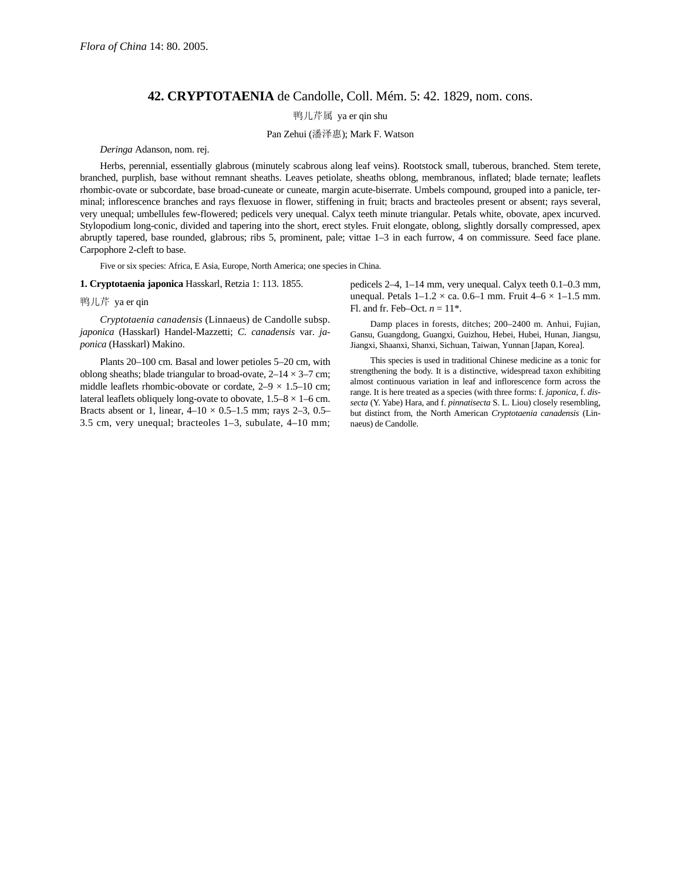## **42. CRYPTOTAENIA** de Candolle, Coll. Mém. 5: 42. 1829, nom. cons.

鸭儿芹属 ya er qin shu

Pan Zehui (潘泽惠); Mark F. Watson

## *Deringa* Adanson, nom. rej.

Herbs, perennial, essentially glabrous (minutely scabrous along leaf veins). Rootstock small, tuberous, branched. Stem terete, branched, purplish, base without remnant sheaths. Leaves petiolate, sheaths oblong, membranous, inflated; blade ternate; leaflets rhombic-ovate or subcordate, base broad-cuneate or cuneate, margin acute-biserrate. Umbels compound, grouped into a panicle, terminal; inflorescence branches and rays flexuose in flower, stiffening in fruit; bracts and bracteoles present or absent; rays several, very unequal; umbellules few-flowered; pedicels very unequal. Calyx teeth minute triangular. Petals white, obovate, apex incurved. Stylopodium long-conic, divided and tapering into the short, erect styles. Fruit elongate, oblong, slightly dorsally compressed, apex abruptly tapered, base rounded, glabrous; ribs 5, prominent, pale; vittae 1–3 in each furrow, 4 on commissure. Seed face plane. Carpophore 2-cleft to base.

Five or six species: Africa, E Asia, Europe, North America; one species in China.

## **1. Cryptotaenia japonica** Hasskarl, Retzia 1: 113. 1855.

## 鸭儿芹 ya er qin

*Cryptotaenia canadensis* (Linnaeus) de Candolle subsp. *japonica* (Hasskarl) Handel-Mazzetti; *C. canadensis* var. *japonica* (Hasskarl) Makino.

Plants 20–100 cm. Basal and lower petioles 5–20 cm, with oblong sheaths; blade triangular to broad-ovate,  $2-14 \times 3-7$  cm; middle leaflets rhombic-obovate or cordate,  $2-9 \times 1.5-10$  cm; lateral leaflets obliquely long-ovate to obovate,  $1.5-8 \times 1-6$  cm. Bracts absent or 1, linear,  $4-10 \times 0.5-1.5$  mm; rays 2-3, 0.5– 3.5 cm, very unequal; bracteoles 1–3, subulate, 4–10 mm; pedicels 2–4, 1–14 mm, very unequal. Calyx teeth 0.1–0.3 mm, unequal. Petals  $1-1.2 \times$  ca. 0.6–1 mm. Fruit  $4-6 \times 1-1.5$  mm. Fl. and fr. Feb–Oct.  $n = 11^*$ .

Damp places in forests, ditches; 200–2400 m. Anhui, Fujian, Gansu, Guangdong, Guangxi, Guizhou, Hebei, Hubei, Hunan, Jiangsu, Jiangxi, Shaanxi, Shanxi, Sichuan, Taiwan, Yunnan [Japan, Korea].

This species is used in traditional Chinese medicine as a tonic for strengthening the body. It is a distinctive, widespread taxon exhibiting almost continuous variation in leaf and inflorescence form across the range. It is here treated as a species (with three forms: f. *japonica,* f. *dissecta* (Y. Yabe) Hara, and f. *pinnatisecta* S. L. Liou) closely resembling, but distinct from, the North American *Cryptotaenia canadensis* (Linnaeus) de Candolle.